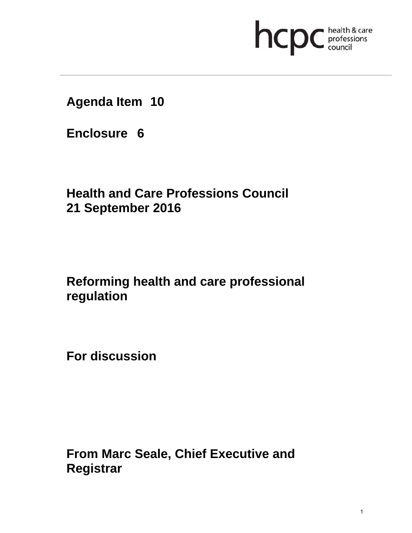# **health & care**

**Agenda Item 10** 

**Enclosure 6**

# **Health and Care Professions Council 21 September 2016**

# **Reforming health and care professional regulation**

**For discussion** 

**From Marc Seale, Chief Executive and Registrar**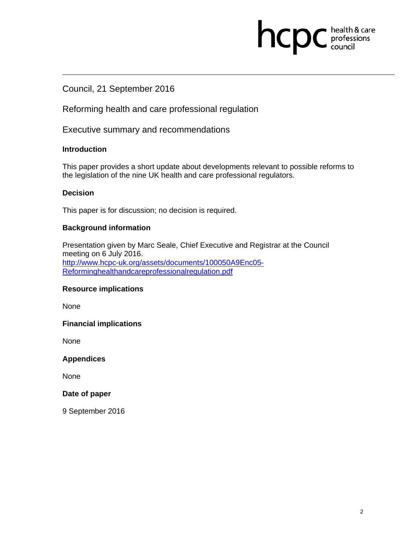# **health & care**

# Council, 21 September 2016

Reforming health and care professional regulation

Executive summary and recommendations

#### **Introduction**

This paper provides a short update about developments relevant to possible reforms to the legislation of the nine UK health and care professional regulators.

#### **Decision**

This paper is for discussion; no decision is required.

#### **Background information**

Presentation given by Marc Seale, Chief Executive and Registrar at the Council meeting on 6 July 2016. http://www.hcpc-uk.org/assets/documents/100050A9Enc05- Reforminghealthandcareprofessionalregulation.pdf

#### **Resource implications**

None

#### **Financial implications**

None

#### **Appendices**

None

#### **Date of paper**

9 September 2016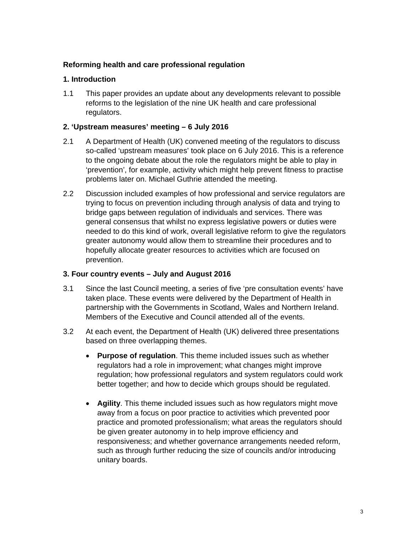### **Reforming health and care professional regulation**

## **1. Introduction**

1.1 This paper provides an update about any developments relevant to possible reforms to the legislation of the nine UK health and care professional regulators.

## **2. 'Upstream measures' meeting – 6 July 2016**

- 2.1 A Department of Health (UK) convened meeting of the regulators to discuss so-called 'upstream measures' took place on 6 July 2016. This is a reference to the ongoing debate about the role the regulators might be able to play in 'prevention', for example, activity which might help prevent fitness to practise problems later on. Michael Guthrie attended the meeting.
- 2.2 Discussion included examples of how professional and service regulators are trying to focus on prevention including through analysis of data and trying to bridge gaps between regulation of individuals and services. There was general consensus that whilst no express legislative powers or duties were needed to do this kind of work, overall legislative reform to give the regulators greater autonomy would allow them to streamline their procedures and to hopefully allocate greater resources to activities which are focused on prevention.

### **3. Four country events – July and August 2016**

- 3.1 Since the last Council meeting, a series of five 'pre consultation events' have taken place. These events were delivered by the Department of Health in partnership with the Governments in Scotland, Wales and Northern Ireland. Members of the Executive and Council attended all of the events.
- 3.2 At each event, the Department of Health (UK) delivered three presentations based on three overlapping themes.
	- **Purpose of regulation**. This theme included issues such as whether regulators had a role in improvement; what changes might improve regulation; how professional regulators and system regulators could work better together; and how to decide which groups should be regulated.
	- **Agility**. This theme included issues such as how regulators might move away from a focus on poor practice to activities which prevented poor practice and promoted professionalism; what areas the regulators should be given greater autonomy in to help improve efficiency and responsiveness; and whether governance arrangements needed reform, such as through further reducing the size of councils and/or introducing unitary boards.